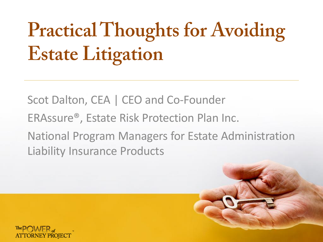# **Practical Thoughts for Avoiding Estate Litigation**

Scot Dalton, CEA | CEO and Co-Founder ERAssure®, Estate Risk Protection Plan Inc. National Program Managers for Estate Administration Liability Insurance Products

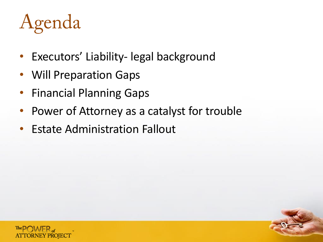# Agenda

- Executors' Liability- legal background
- Will Preparation Gaps
- Financial Planning Gaps
- Power of Attorney as a catalyst for trouble
- Estate Administration Fallout

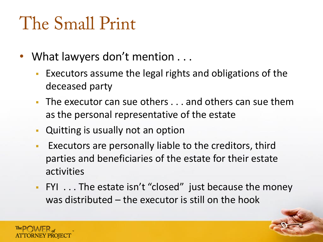#### The Small Print

- What lawyers don't mention . . .
	- Executors assume the legal rights and obligations of the deceased party
	- The executor can sue others . . . and others can sue them as the personal representative of the estate
	- Quitting is usually not an option
	- Executors are personally liable to the creditors, third parties and beneficiaries of the estate for their estate activities
	- FYI . . . The estate isn't "closed" just because the money was distributed – the executor is still on the hook

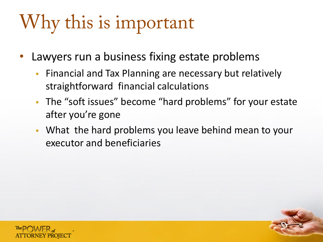#### Why this is important

- Lawyers run a business fixing estate problems
	- **Financial and Tax Planning are necessary but relatively** straightforward financial calculations
	- **The "soft issues" become "hard problems" for your estate** after you're gone
	- What the hard problems you leave behind mean to your executor and beneficiaries

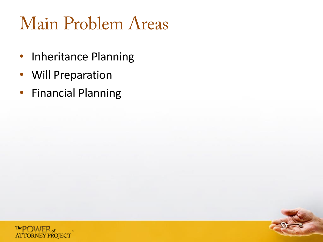#### **Main Problem Areas**

- Inheritance Planning
- Will Preparation
- Financial Planning

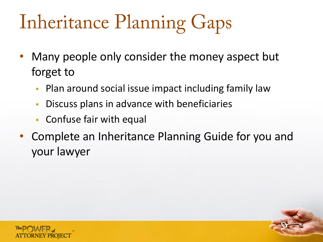# **Inheritance Planning Gaps**

- Many people only consider the money aspect but forget to
	- **Plan around social issue impact including family law**
	- **-** Discuss plans in advance with beneficiaries
	- Confuse fair with equal
- Complete an Inheritance Planning Guide for you and your lawyer

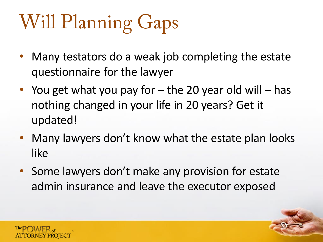# **Will Planning Gaps**

- Many testators do a weak job completing the estate questionnaire for the lawyer
- You get what you pay for  $-$  the 20 year old will  $-$  has nothing changed in your life in 20 years? Get it updated!
- Many lawyers don't know what the estate plan looks like
- Some lawyers don't make any provision for estate admin insurance and leave the executor exposed

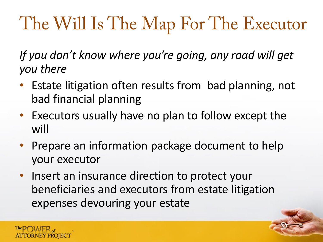#### The Will Is The Map For The Executor

*If you don't know where you're going, any road will get you there*

- Estate litigation often results from bad planning, not bad financial planning
- Executors usually have no plan to follow except the will
- Prepare an information package document to help your executor
- Insert an insurance direction to protect your beneficiaries and executors from estate litigation expenses devouring your estate

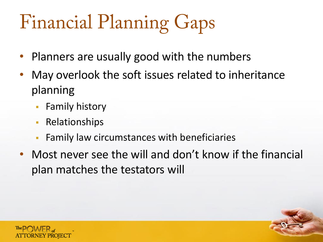# **Financial Planning Gaps**

- Planners are usually good with the numbers
- May overlook the soft issues related to inheritance planning
	- **Family history**
	- **Relationships**
	- **Family law circumstances with beneficiaries**
- Most never see the will and don't know if the financial plan matches the testators will

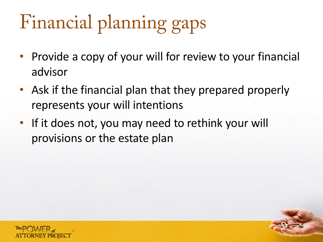# Financial planning gaps

- Provide a copy of your will for review to your financial advisor
- Ask if the financial plan that they prepared properly represents your will intentions
- If it does not, you may need to rethink your will provisions or the estate plan

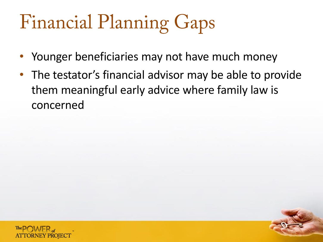# **Financial Planning Gaps**

- Younger beneficiaries may not have much money
- The testator's financial advisor may be able to provide them meaningful early advice where family law is concerned

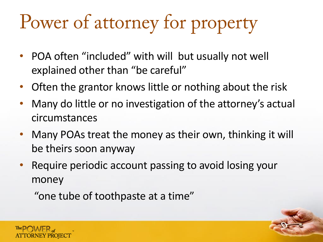#### Power of attorney for property

- POA often "included" with will but usually not well explained other than "be careful"
- Often the grantor knows little or nothing about the risk
- Many do little or no investigation of the attorney's actual circumstances
- Many POAs treat the money as their own, thinking it will be theirs soon anyway
- Require periodic account passing to avoid losing your money

"one tube of toothpaste at a time"

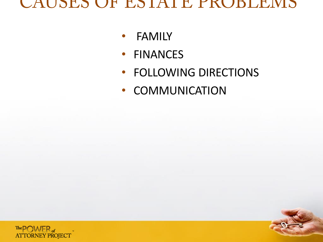#### CAUSES OF ESTATE PROBLEMS

- FAMILY
- FINANCES
- FOLLOWING DIRECTIONS
- COMMUNICATION

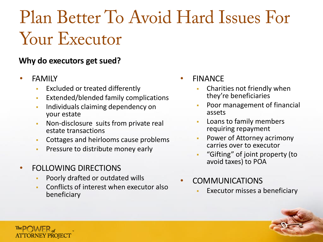#### Plan Better To Avoid Hard Issues For **Your Executor**

#### **Why do executors get sued?**

**FAMILY** 

The POWER

**ATTORNEY PROJECT** 

- Excluded or treated differently
- **Extended/blended family complications**
- **Individuals claiming dependency on** your estate
- **Non-disclosure suits from private real** estate transactions
- Cottages and heirlooms cause problems
- **Pressure to distribute money early**
- FOLLOWING DIRECTIONS
	- Poorly drafted or outdated wills
	- Conflicts of interest when executor also beneficiary
- **FINANCE** 
	- Charities not friendly when they're beneficiaries
	- Poor management of financial assets
	- Loans to family members requiring repayment
	- Power of Attorney acrimony carries over to executor
	- "Gifting" of joint property (to avoid taxes) to POA
- **COMMUNICATIONS** 
	- Executor misses a beneficiary

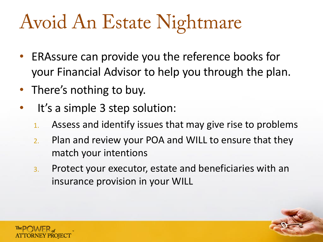#### Avoid An Estate Nightmare

- ERAssure can provide you the reference books for your Financial Advisor to help you through the plan.
- There's nothing to buy.
- It's a simple 3 step solution:
	- 1. Assess and identify issues that may give rise to problems
	- 2. Plan and review your POA and WILL to ensure that they match your intentions
	- 3. Protect your executor, estate and beneficiaries with an insurance provision in your WILL

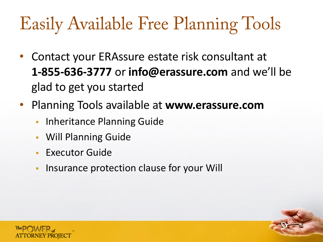#### **Easily Available Free Planning Tools**

- Contact your ERAssure estate risk consultant at **1-855-636-3777** or **info@erassure.com** and we'll be glad to get you started
- Planning Tools available at **www.erassure.com**
	- **Inheritance Planning Guide**
	- Will Planning Guide
	- **Executor Guide**
	- **-** Insurance protection clause for your Will